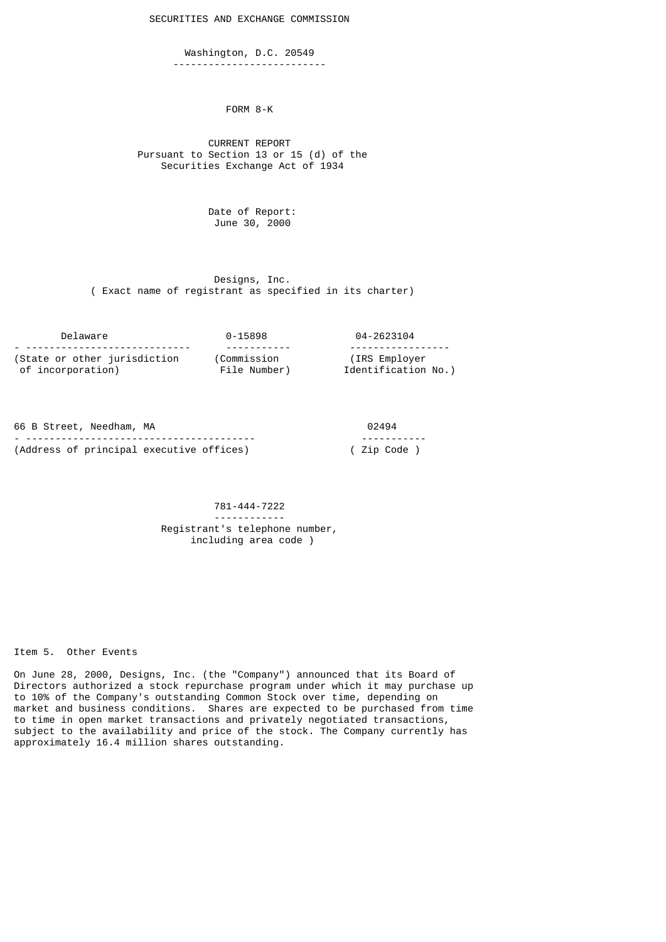SECURITIES AND EXCHANGE COMMISSION

 Washington, D.C. 20549 --------------------------

FORM 8-K

 CURRENT REPORT Pursuant to Section 13 or 15 (d) of the Securities Exchange Act of 1934

> Date of Report: June 30, 2000

 Designs, Inc. ( Exact name of registrant as specified in its charter)

| Delaware                        | 0-15898      | 04-2623104          |
|---------------------------------|--------------|---------------------|
| - ----------------------------- |              | ------------------  |
| (State or other jurisdiction    | (Commission  | (IRS Employer)      |
| of incorporation)               | File Number) | Identification No.) |

| 66 B Street, Needham, MA                 | 02494        |
|------------------------------------------|--------------|
|                                          | ------------ |
| (Address of principal executive offices) | ( Zip Code ) |

## 781-444-7222 ------------ Registrant's telephone number, including area code )

Item 5. Other Events

On June 28, 2000, Designs, Inc. (the "Company") announced that its Board of Directors authorized a stock repurchase program under which it may purchase up to 10% of the Company's outstanding Common Stock over time, depending on market and business conditions. Shares are expected to be purchased from time to time in open market transactions and privately negotiated transactions, subject to the availability and price of the stock. The Company currently has approximately 16.4 million shares outstanding.